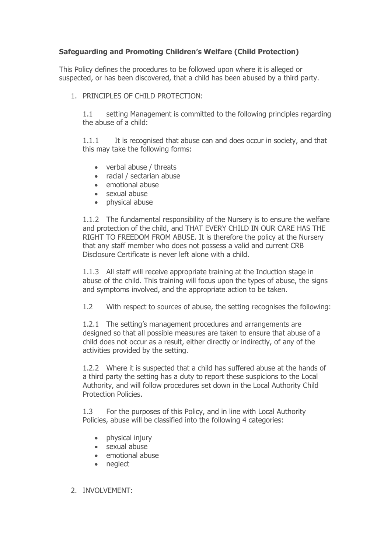# **Safeguarding and Promoting Children's Welfare (Child Protection)**

This Policy defines the procedures to be followed upon where it is alleged or suspected, or has been discovered, that a child has been abused by a third party.

1. PRINCIPLES OF CHILD PROTECTION:

1.1 setting Management is committed to the following principles regarding the abuse of a child:

1.1.1 It is recognised that abuse can and does occur in society, and that this may take the following forms:

- verbal abuse / threats
- racial / sectarian abuse
- emotional abuse
- sexual abuse
- physical abuse

1.1.2 The fundamental responsibility of the Nursery is to ensure the welfare and protection of the child, and THAT EVERY CHILD IN OUR CARE HAS THE RIGHT TO FREEDOM FROM ABUSE. It is therefore the policy at the Nursery that any staff member who does not possess a valid and current CRB Disclosure Certificate is never left alone with a child.

1.1.3 All staff will receive appropriate training at the Induction stage in abuse of the child. This training will focus upon the types of abuse, the signs and symptoms involved, and the appropriate action to be taken.

1.2 With respect to sources of abuse, the setting recognises the following:

1.2.1 The setting's management procedures and arrangements are designed so that all possible measures are taken to ensure that abuse of a child does not occur as a result, either directly or indirectly, of any of the activities provided by the setting.

1.2.2 Where it is suspected that a child has suffered abuse at the hands of a third party the setting has a duty to report these suspicions to the Local Authority, and will follow procedures set down in the Local Authority Child Protection Policies.

1.3 For the purposes of this Policy, and in line with Local Authority Policies, abuse will be classified into the following 4 categories:

- physical injury
- sexual abuse
- emotional abuse
- neglect
- 2. INVOLVEMENT: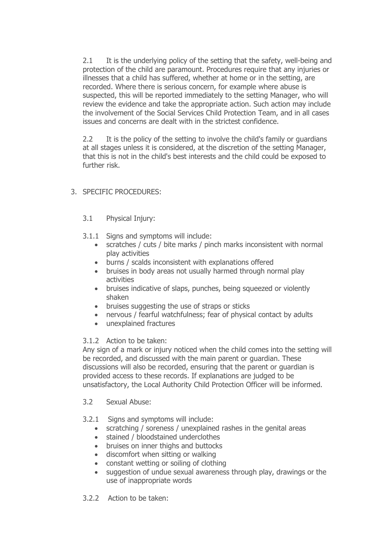2.1 It is the underlying policy of the setting that the safety, well-being and protection of the child are paramount. Procedures require that any injuries or illnesses that a child has suffered, whether at home or in the setting, are recorded. Where there is serious concern, for example where abuse is suspected, this will be reported immediately to the setting Manager, who will review the evidence and take the appropriate action. Such action may include the involvement of the Social Services Child Protection Team, and in all cases issues and concerns are dealt with in the strictest confidence.

2.2 It is the policy of the setting to involve the child's family or guardians at all stages unless it is considered, at the discretion of the setting Manager, that this is not in the child's best interests and the child could be exposed to further risk.

## 3. SPECIFIC PROCEDURES:

### 3.1 Physical Injury:

- 3.1.1 Signs and symptoms will include:
	- scratches / cuts / bite marks / pinch marks inconsistent with normal play activities
	- burns / scalds inconsistent with explanations offered
	- bruises in body areas not usually harmed through normal play activities
	- bruises indicative of slaps, punches, being squeezed or violently shaken
	- bruises suggesting the use of straps or sticks
	- nervous / fearful watchfulness; fear of physical contact by adults
	- unexplained fractures

#### 3.1.2 Action to be taken:

Any sign of a mark or injury noticed when the child comes into the setting will be recorded, and discussed with the main parent or guardian. These discussions will also be recorded, ensuring that the parent or guardian is provided access to these records. If explanations are judged to be unsatisfactory, the Local Authority Child Protection Officer will be informed.

#### 3.2 Sexual Abuse:

#### 3.2.1 Signs and symptoms will include:

- scratching / soreness / unexplained rashes in the genital areas
- stained / bloodstained underclothes
- bruises on inner thighs and buttocks
- discomfort when sitting or walking
- constant wetting or soiling of clothing
- suggestion of undue sexual awareness through play, drawings or the use of inappropriate words
- 3.2.2 Action to be taken: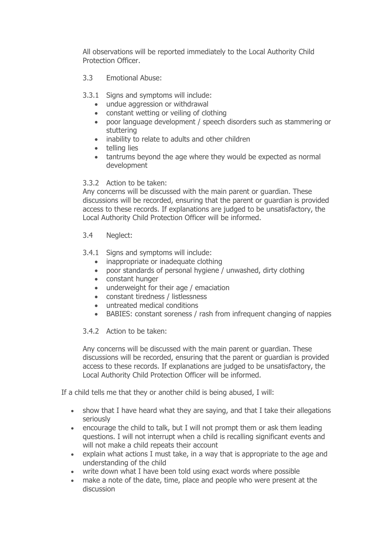All observations will be reported immediately to the Local Authority Child Protection Officer.

- 3.3 Emotional Abuse:
- 3.3.1 Signs and symptoms will include:
	- undue aggression or withdrawal
	- constant wetting or veiling of clothing
	- poor language development / speech disorders such as stammering or stuttering
	- inability to relate to adults and other children
	- telling lies
	- tantrums beyond the age where they would be expected as normal development

### 3.3.2 Action to be taken:

Any concerns will be discussed with the main parent or guardian. These discussions will be recorded, ensuring that the parent or guardian is provided access to these records. If explanations are judged to be unsatisfactory, the Local Authority Child Protection Officer will be informed.

### 3.4 Neglect:

### 3.4.1 Signs and symptoms will include:

- inappropriate or inadequate clothing
- poor standards of personal hygiene / unwashed, dirty clothing
- constant hunger
- underweight for their age / emaciation
- constant tiredness / listlessness
- untreated medical conditions
- BABIES: constant soreness / rash from infrequent changing of nappies

### 3.4.2 Action to be taken:

Any concerns will be discussed with the main parent or guardian. These discussions will be recorded, ensuring that the parent or guardian is provided access to these records. If explanations are judged to be unsatisfactory, the Local Authority Child Protection Officer will be informed.

If a child tells me that they or another child is being abused, I will:

- show that I have heard what they are saying, and that I take their allegations seriously
- encourage the child to talk, but I will not prompt them or ask them leading questions. I will not interrupt when a child is recalling significant events and will not make a child repeats their account
- explain what actions I must take, in a way that is appropriate to the age and understanding of the child
- write down what I have been told using exact words where possible
- make a note of the date, time, place and people who were present at the discussion